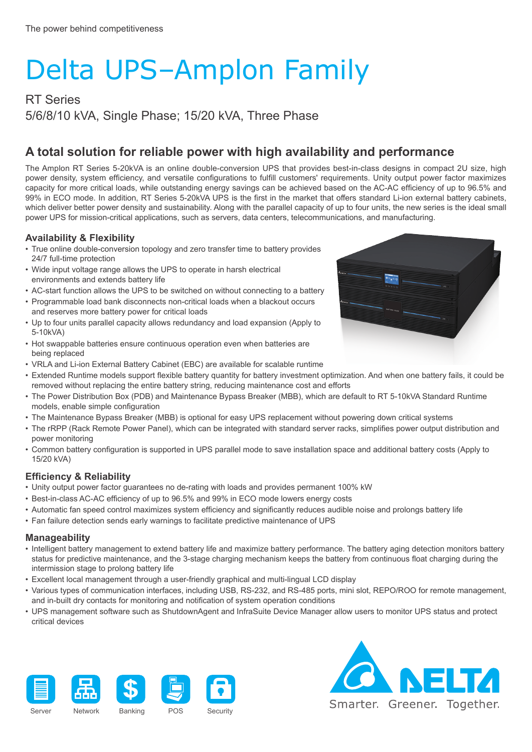# Delta UPS–Amplon Family

RT Series 5/6/8/10 kVA, Single Phase; 15/20 kVA, Three Phase

### **A total solution for reliable power with high availability and performance**

The Amplon RT Series 5-20kVA is an online double-conversion UPS that provides best-in-class designs in compact 2U size, high power density, system efficiency, and versatile configurations to fulfill customers' requirements. Unity output power factor maximizes capacity for more critical loads, while outstanding energy savings can be achieved based on the AC-AC efficiency of up to 96.5% and 99% in ECO mode. In addition, RT Series 5-20kVA UPS is the first in the market that offers standard Li-ion external battery cabinets, which deliver better power density and sustainability. Along with the parallel capacity of up to four units, the new series is the ideal small power UPS for mission-critical applications, such as servers, data centers, telecommunications, and manufacturing.

#### **Availability & Flexibility**

- True online double-conversion topology and zero transfer time to battery provides 24/7 full-time protection
- Wide input voltage range allows the UPS to operate in harsh electrical environments and extends battery life
- AC-start function allows the UPS to be switched on without connecting to a battery
- Programmable load bank disconnects non-critical loads when a blackout occurs and reserves more battery power for critical loads
- Up to four units parallel capacity allows redundancy and load expansion (Apply to 5-10kVA)
- Hot swappable batteries ensure continuous operation even when batteries are being replaced
- VRLA and Li-ion External Battery Cabinet (EBC) are available for scalable runtime
- Extended Runtime models support flexible battery quantity for battery investment optimization. And when one battery fails, it could be removed without replacing the entire battery string, reducing maintenance cost and efforts
- The Power Distribution Box (PDB) and Maintenance Bypass Breaker (MBB), which are default to RT 5-10kVA Standard Runtime models, enable simple configuration
- The Maintenance Bypass Breaker (MBB) is optional for easy UPS replacement without powering down critical systems
- The rRPP (Rack Remote Power Panel), which can be integrated with standard server racks, simplifies power output distribution and power monitoring
- Common battery configuration is supported in UPS parallel mode to save installation space and additional battery costs (Apply to 15/20 kVA)

#### **Efficiency & Reliability**

- Unity output power factor guarantees no de-rating with loads and provides permanent 100% kW
- Best-in-class AC-AC efficiency of up to 96.5% and 99% in ECO mode lowers energy costs
- Automatic fan speed control maximizes system efficiency and significantly reduces audible noise and prolongs battery life
- Fan failure detection sends early warnings to facilitate predictive maintenance of UPS

#### **Manageability**

- Intelligent battery management to extend battery life and maximize battery performance. The battery aging detection monitors battery status for predictive maintenance, and the 3-stage charging mechanism keeps the battery from continuous float charging during the intermission stage to prolong battery life
- Excellent local management through a user-friendly graphical and multi-lingual LCD display
- Various types of communication interfaces, including USB, RS-232, and RS-485 ports, mini slot, REPO/ROO for remote management, and in-built dry contacts for monitoring and notification of system operation conditions
- UPS management software such as ShutdownAgent and InfraSuite Device Manager allow users to monitor UPS status and protect critical devices